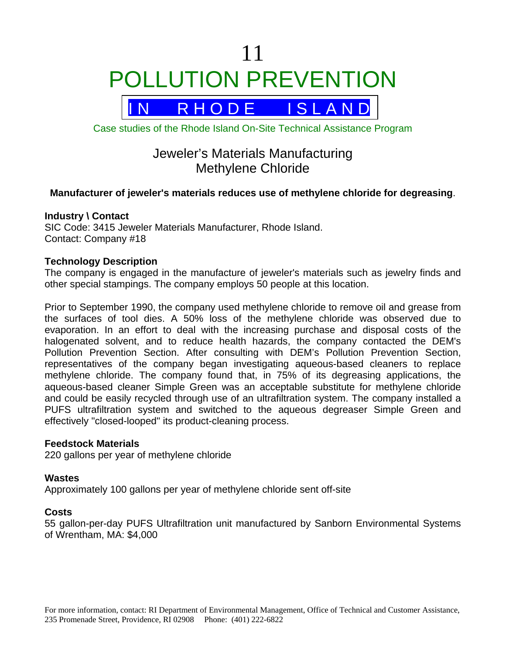# 11 POLLUTION PREVENTION



Case studies of the Rhode Island On-Site Technical Assistance Program

# Jeweler's Materials Manufacturing Methylene Chloride

# **Manufacturer of jeweler's materials reduces use of methylene chloride for degreasing**.

# **Industry \ Contact**

SIC Code: 3415 Jeweler Materials Manufacturer, Rhode Island. Contact: Company #18

## **Technology Description**

The company is engaged in the manufacture of jeweler's materials such as jewelry finds and other special stampings. The company employs 50 people at this location.

Prior to September 1990, the company used methylene chloride to remove oil and grease from the surfaces of tool dies. A 50% loss of the methylene chloride was observed due to evaporation. In an effort to deal with the increasing purchase and disposal costs of the halogenated solvent, and to reduce health hazards, the company contacted the DEM's Pollution Prevention Section. After consulting with DEM's Pollution Prevention Section, representatives of the company began investigating aqueous-based cleaners to replace methylene chloride. The company found that, in 75% of its degreasing applications, the aqueous-based cleaner Simple Green was an acceptable substitute for methylene chloride and could be easily recycled through use of an ultrafiltration system. The company installed a PUFS ultrafiltration system and switched to the aqueous degreaser Simple Green and effectively "closed-looped" its product-cleaning process.

#### **Feedstock Materials**

220 gallons per year of methylene chloride

#### **Wastes**

Approximately 100 gallons per year of methylene chloride sent off-site

#### **Costs**

55 gallon-per-day PUFS Ultrafiltration unit manufactured by Sanborn Environmental Systems of Wrentham, MA: \$4,000